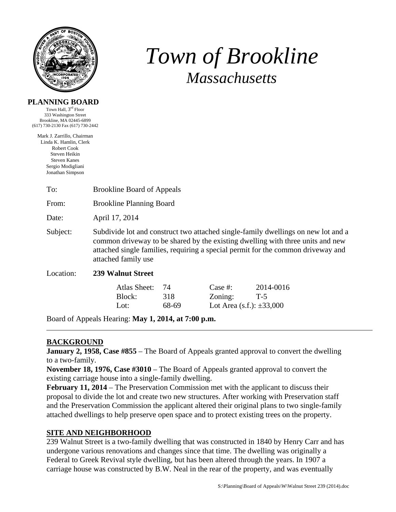

# *Town of Brookline Massachusetts*

#### **PLANNING BOARD**

Town Hall, 3rd Floor 333 Washington Street Brookline, MA 02445-6899 (617) 730-2130 Fax (617) 730-2442

Mark J. Zarrillo, Chairman Linda K. Hamlin, Clerk Robert Cook Steven Heikin Steven Kanes Sergio Modigliani Jonathan Simpson

| To:                                                 | <b>Brookline Board of Appeals</b>                                                                                                                                                                                                                                              |       |                                  |           |
|-----------------------------------------------------|--------------------------------------------------------------------------------------------------------------------------------------------------------------------------------------------------------------------------------------------------------------------------------|-------|----------------------------------|-----------|
| From:                                               | <b>Brookline Planning Board</b>                                                                                                                                                                                                                                                |       |                                  |           |
| Date:                                               | April 17, 2014                                                                                                                                                                                                                                                                 |       |                                  |           |
| Subject:                                            | Subdivide lot and construct two attached single-family dwellings on new lot and a<br>common driveway to be shared by the existing dwelling with three units and new<br>attached single families, requiring a special permit for the common driveway and<br>attached family use |       |                                  |           |
| Location:                                           | <b>239 Walnut Street</b>                                                                                                                                                                                                                                                       |       |                                  |           |
|                                                     | <b>Atlas Sheet:</b>                                                                                                                                                                                                                                                            | 74    | Case  #:                         | 2014-0016 |
|                                                     | Block:                                                                                                                                                                                                                                                                         | 318   | Zoning:                          | $T-5$     |
|                                                     | Lot:                                                                                                                                                                                                                                                                           | 68-69 | Lot Area $(s.f.)$ : $\pm 33,000$ |           |
| Board of Appeals Hearing: May 1, 2014, at 7:00 p.m. |                                                                                                                                                                                                                                                                                |       |                                  |           |

# **BACKGROUND**

**January 2, 1958, Case #855** – The Board of Appeals granted approval to convert the dwelling to a two-family.

**November 18, 1976, Case #3010** – The Board of Appeals granted approval to convert the existing carriage house into a single-family dwelling.

**February 11, 2014** – The Preservation Commission met with the applicant to discuss their proposal to divide the lot and create two new structures. After working with Preservation staff and the Preservation Commission the applicant altered their original plans to two single-family attached dwellings to help preserve open space and to protect existing trees on the property.

# **SITE AND NEIGHBORHOOD**

239 Walnut Street is a two-family dwelling that was constructed in 1840 by Henry Carr and has undergone various renovations and changes since that time. The dwelling was originally a Federal to Greek Revival style dwelling, but has been altered through the years. In 1907 a carriage house was constructed by B.W. Neal in the rear of the property, and was eventually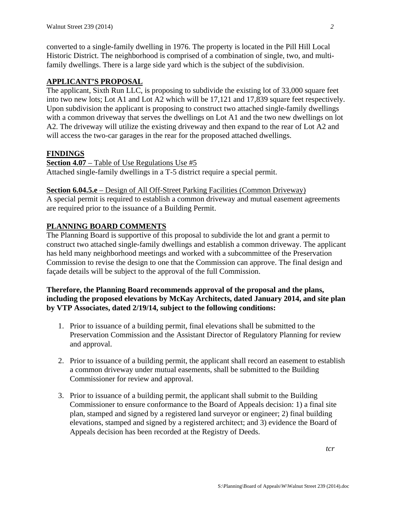converted to a single-family dwelling in 1976. The property is located in the Pill Hill Local Historic District. The neighborhood is comprised of a combination of single, two, and multifamily dwellings. There is a large side yard which is the subject of the subdivision.

## **APPLICANT'S PROPOSAL**

The applicant, Sixth Run LLC, is proposing to subdivide the existing lot of 33,000 square feet into two new lots; Lot A1 and Lot A2 which will be 17,121 and 17,839 square feet respectively. Upon subdivision the applicant is proposing to construct two attached single-family dwellings with a common driveway that serves the dwellings on Lot A1 and the two new dwellings on lot A2. The driveway will utilize the existing driveway and then expand to the rear of Lot A2 and will access the two-car garages in the rear for the proposed attached dwellings.

#### **FINDINGS**

**Section 4.07** – Table of Use Regulations Use #5 Attached single-family dwellings in a T-5 district require a special permit.

#### **Section 6.04.5.e** – Design of All Off-Street Parking Facilities (Common Driveway)

A special permit is required to establish a common driveway and mutual easement agreements are required prior to the issuance of a Building Permit.

#### **PLANNING BOARD COMMENTS**

The Planning Board is supportive of this proposal to subdivide the lot and grant a permit to construct two attached single-family dwellings and establish a common driveway. The applicant has held many neighborhood meetings and worked with a subcommittee of the Preservation Commission to revise the design to one that the Commission can approve. The final design and façade details will be subject to the approval of the full Commission.

## **Therefore, the Planning Board recommends approval of the proposal and the plans, including the proposed elevations by McKay Architects, dated January 2014, and site plan by VTP Associates, dated 2/19/14, subject to the following conditions:**

- 1. Prior to issuance of a building permit, final elevations shall be submitted to the Preservation Commission and the Assistant Director of Regulatory Planning for review and approval.
- 2. Prior to issuance of a building permit, the applicant shall record an easement to establish a common driveway under mutual easements, shall be submitted to the Building Commissioner for review and approval.
- 3. Prior to issuance of a building permit, the applicant shall submit to the Building Commissioner to ensure conformance to the Board of Appeals decision: 1) a final site plan, stamped and signed by a registered land surveyor or engineer; 2) final building elevations, stamped and signed by a registered architect; and 3) evidence the Board of Appeals decision has been recorded at the Registry of Deeds.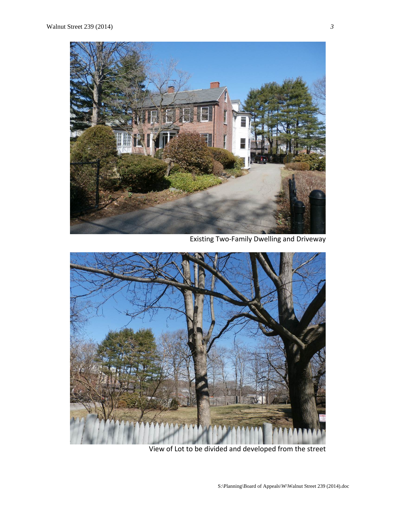

Existing Two‐Family Dwelling and Driveway



View of Lot to be divided and developed from the street